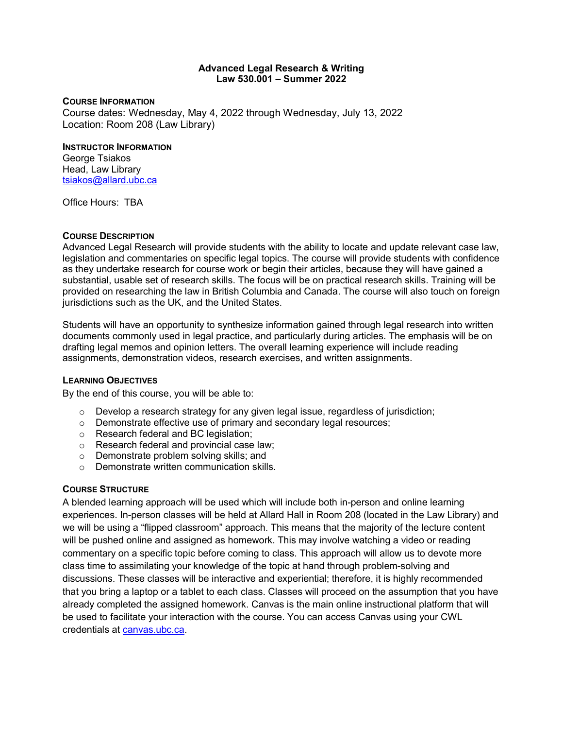#### **Advanced Legal Research & Writing Law 530.001 – Summer 2022**

#### **COURSE INFORMATION**

Course dates: Wednesday, May 4, 2022 through Wednesday, July 13, 2022 Location: Room 208 (Law Library)

#### **INSTRUCTOR INFORMATION**

George Tsiakos Head, Law Library [tsiakos@allard.ubc.ca](mailto:tsiakos@allard.ubc.ca)

Office Hours: TBA

## **COURSE DESCRIPTION**

Advanced Legal Research will provide students with the ability to locate and update relevant case law, legislation and commentaries on specific legal topics. The course will provide students with confidence as they undertake research for course work or begin their articles, because they will have gained a substantial, usable set of research skills. The focus will be on practical research skills. Training will be provided on researching the law in British Columbia and Canada. The course will also touch on foreign jurisdictions such as the UK, and the United States.

Students will have an opportunity to synthesize information gained through legal research into written documents commonly used in legal practice, and particularly during articles. The emphasis will be on drafting legal memos and opinion letters. The overall learning experience will include reading assignments, demonstration videos, research exercises, and written assignments.

#### **LEARNING OBJECTIVES**

By the end of this course, you will be able to:

- $\circ$  Develop a research strategy for any given legal issue, regardless of jurisdiction;
- o Demonstrate effective use of primary and secondary legal resources;
- o Research federal and BC legislation;
- o Research federal and provincial case law;
- o Demonstrate problem solving skills; and
- o Demonstrate written communication skills.

#### **COURSE STRUCTURE**

A blended learning approach will be used which will include both in-person and online learning experiences. In-person classes will be held at Allard Hall in Room 208 (located in the Law Library) and we will be using a "flipped classroom" approach. This means that the majority of the lecture content will be pushed online and assigned as homework. This may involve watching a video or reading commentary on a specific topic before coming to class. This approach will allow us to devote more class time to assimilating your knowledge of the topic at hand through problem-solving and discussions. These classes will be interactive and experiential; therefore, it is highly recommended that you bring a laptop or a tablet to each class. Classes will proceed on the assumption that you have already completed the assigned homework. Canvas is the main online instructional platform that will be used to facilitate your interaction with the course. You can access Canvas using your CWL credentials at [canvas.ubc.ca.](https://about.canvas.ubc.ca/)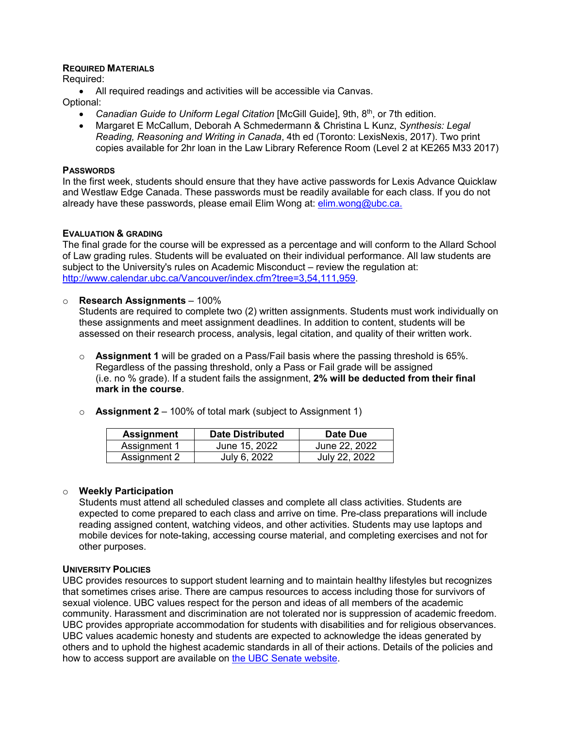#### **REQUIRED MATERIALS**

Required:

• All required readings and activities will be accessible via Canvas.

Optional:

- *Canadian Guide to Uniform Legal Citation* [McGill Guide], 9th, 8th, or 7th edition.
- Margaret E McCallum, Deborah A Schmedermann & Christina L Kunz, *Synthesis: Legal Reading, Reasoning and Writing in Canada*, 4th ed (Toronto: LexisNexis, 2017). Two print copies available for 2hr loan in the Law Library Reference Room (Level 2 at KE265 M33 2017)

#### **PASSWORDS**

In the first week, students should ensure that they have active passwords for Lexis Advance Quicklaw and Westlaw Edge Canada. These passwords must be readily available for each class. If you do not already have these passwords, please email Elim Wong at: [elim.wong@ubc.ca.](mailto:elim.wong@ubc.ca)

#### **EVALUATION & GRADING**

The final grade for the course will be expressed as a percentage and will conform to the Allard School of Law grading rules. Students will be evaluated on their individual performance. All law students are subject to the University's rules on Academic Misconduct – review the regulation at: [http://www.calendar.ubc.ca/Vancouver/index.cfm?tree=3,54,111,959.](http://www.calendar.ubc.ca/Vancouver/index.cfm?tree=3,54,111,959)

#### o **Research Assignments** – 100%

Students are required to complete two (2) written assignments. Students must work individually on these assignments and meet assignment deadlines. In addition to content, students will be assessed on their research process, analysis, legal citation, and quality of their written work.

- o **Assignment 1** will be graded on a Pass/Fail basis where the passing threshold is 65%. Regardless of the passing threshold, only a Pass or Fail grade will be assigned (i.e. no % grade). If a student fails the assignment, **2% will be deducted from their final mark in the course**.
	- **Assignment Date Distributed Date Due** Assignment 1 June 15, 2022 June 22, 2022

o **Assignment 2** – 100% of total mark (subject to Assignment 1)

Assignment 2 July 6, 2022

#### o **Weekly Participation**

Students must attend all scheduled classes and complete all class activities. Students are expected to come prepared to each class and arrive on time. Pre-class preparations will include reading assigned content, watching videos, and other activities. Students may use laptops and mobile devices for note-taking, accessing course material, and completing exercises and not for other purposes.

## **UNIVERSITY POLICIES**

UBC provides resources to support student learning and to maintain healthy lifestyles but recognizes that sometimes crises arise. There are campus resources to access including those for survivors of sexual violence. UBC values respect for the person and ideas of all members of the academic community. Harassment and discrimination are not tolerated nor is suppression of academic freedom. UBC provides appropriate accommodation for students with disabilities and for religious observances. UBC values academic honesty and students are expected to acknowledge the ideas generated by others and to uphold the highest academic standards in all of their actions. Details of the policies and how to access support are available on [the UBC Senate website.](https://senate.ubc.ca/policies-resources-support-student-success)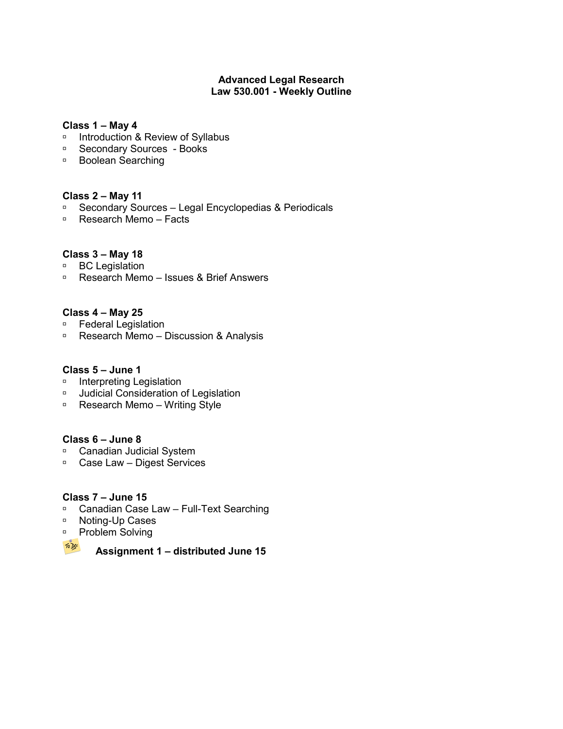## **Advanced Legal Research Law 530.001 - Weekly Outline**

#### **Class 1 – May 4**

- □ Introduction & Review of Syllabus
- □ Secondary Sources Books
- □ Boolean Searching

## **Class 2 – May 11**

- □ Secondary Sources Legal Encyclopedias & Periodicals
- Research Memo Facts

## **Class 3 – May 18**

- □ BC Legislation
- Research Memo Issues & Brief Answers

## **Class 4 – May 25**

- □ Federal Legislation
- □ Research Memo Discussion & Analysis

## **Class 5 – June 1**

- **Interpreting Legislation**
- Judicial Consideration of Legislation
- □ Research Memo Writing Style

## **Class 6 – June 8**

- □ Canadian Judicial System
- □ Case Law Digest Services

## **Class 7 – June 15**

- □ Canadian Case Law Full-Text Searching
- □ Noting-Up Cases
- □ Problem Solving



**Assignment 1 – distributed June 15**